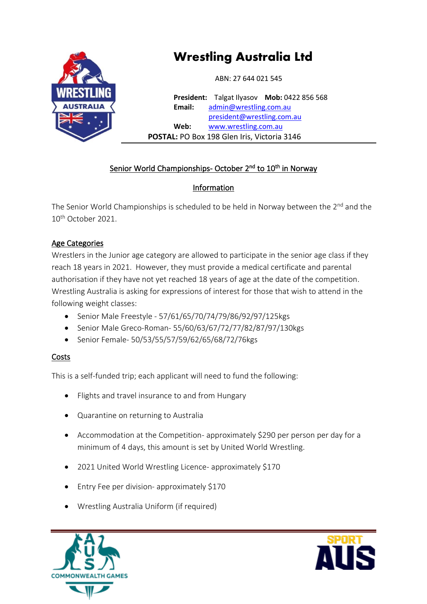

# **Wrestling Australia Ltd**

ABN: 27 644 021 545

**President:** Talgat Ilyasov **Mob:** 0422 856 568 **Email:** admin[@wrestling.com.au](mailto:admin@wrestling.com.au) presid[ent@wrestling.com.au](mailto:president@wrestling.com.au) **Web:** [www.wrestling.com.au](http://www.wrestling.com.au/)  **POSTAL:** PO Box 198 Glen Iris, Victoria 3146

### Senior World Championships- October 2<sup>nd</sup> to 10<sup>th</sup> in Norway

## Information

The Senior World Championships is scheduled to be held in Norway between the 2<sup>nd</sup> and the 10th October 2021.

#### Age Categories

Wrestlers in the Junior age category are allowed to participate in the senior age class if they reach 18 years in 2021. However, they must provide a medical certificate and parental authorisation if they have not yet reached 18 years of age at the date of the competition. Wrestling Australia is asking for expressions of interest for those that wish to attend in the following weight classes:

- Senior Male Freestyle 57/61/65/70/74/79/86/92/97/125kgs
- Senior Male Greco-Roman- 55/60/63/67/72/77/82/87/97/130kgs
- Senior Female- 50/53/55/57/59/62/65/68/72/76kgs

### Costs

This is a self-funded trip; each applicant will need to fund the following:

- Flights and travel insurance to and from Hungary
- Quarantine on returning to Australia
- Accommodation at the Competition- approximately \$290 per person per day for a minimum of 4 days, this amount is set by United World Wrestling.
- 2021 United World Wrestling Licence- approximately \$170
- Entry Fee per division- approximately \$170
- Wrestling Australia Uniform (if required)



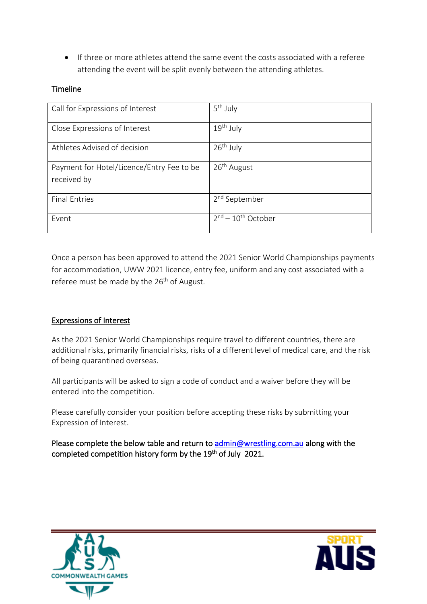• If three or more athletes attend the same event the costs associated with a referee attending the event will be split evenly between the attending athletes.

#### Timeline

| Call for Expressions of Interest                         | 5 <sup>th</sup> July      |
|----------------------------------------------------------|---------------------------|
| Close Expressions of Interest                            | $19th$ July               |
| Athletes Advised of decision                             | $26th$ July               |
| Payment for Hotel/Licence/Entry Fee to be<br>received by | 26 <sup>th</sup> August   |
| <b>Final Entries</b>                                     | 2 <sup>nd</sup> September |
| Event                                                    | $2nd - 10th October$      |

Once a person has been approved to attend the 2021 Senior World Championships payments for accommodation, UWW 2021 licence, entry fee, uniform and any cost associated with a referee must be made by the 26<sup>th</sup> of August.

#### Expressions of Interest

As the 2021 Senior World Championships require travel to different countries, there are additional risks, primarily financial risks, risks of a different level of medical care, and the risk of being quarantined overseas.

All participants will be asked to sign a code of conduct and a waiver before they will be entered into the competition.

Please carefully consider your position before accepting these risks by submitting your Expression of Interest.

Please complete the below table and return to [admin@wrestling.com.au](mailto:admin@wrestling.com.au) along with the completed competition history form by the 19<sup>th</sup> of July 2021.